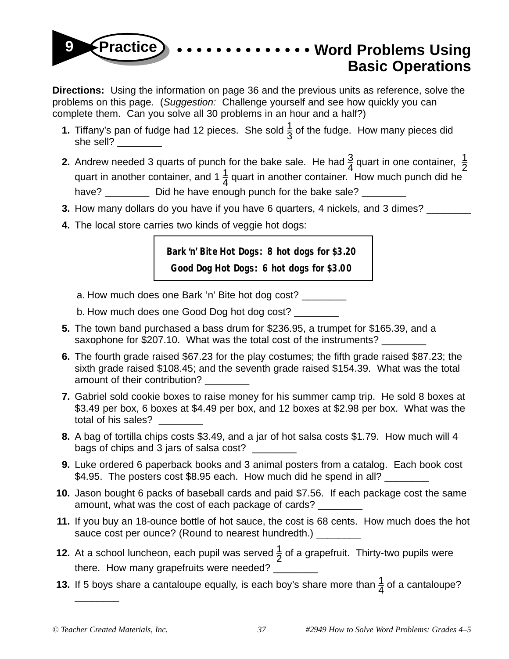## **• • • • • • • • • • • • • • Word Problems Using Basic Operations 9 Practice**

**Directions:** Using the information on page 36 and the previous units as reference, solve the problems on this page. (Suggestion: Challenge yourself and see how quickly you can complete them. Can you solve all 30 problems in an hour and a half?)

- **1.** Tiffany's pan of fudge had 12 pieces. She sold  $\frac{1}{3}$  of the fudge. How many pieces did she sell?
- **2.** Andrew needed 3 quarts of punch for the bake sale. He had  $\frac{3}{4}$  quart in one container,  $\frac{1}{2}$  quart in another container. How much punch did he have? \_\_\_\_\_\_\_\_\_\_ Did he have enough punch for the bake sale? \_\_\_\_\_\_\_\_\_
- **3.** How many dollars do you have if you have 6 quarters, 4 nickels, and 3 dimes? \_\_\_\_\_\_
- **4.** The local store carries two kinds of veggie hot dogs:

**Bark 'n' Bite Hot Dogs: 8 hot dogs for \$3.20**

**Good Dog Hot Dogs: 6 hot dogs for \$3.00**

- a. How much does one Bark 'n' Bite hot dog cost?
- b. How much does one Good Dog hot dog cost?
- **5.** The town band purchased a bass drum for \$236.95, a trumpet for \$165.39, and a saxophone for \$207.10. What was the total cost of the instruments?
- **6.** The fourth grade raised \$67.23 for the play costumes; the fifth grade raised \$87.23; the sixth grade raised \$108.45; and the seventh grade raised \$154.39. What was the total amount of their contribution?
- **7.** Gabriel sold cookie boxes to raise money for his summer camp trip. He sold 8 boxes at \$3.49 per box, 6 boxes at \$4.49 per box, and 12 boxes at \$2.98 per box. What was the total of his sales?
- **8.** A bag of tortilla chips costs \$3.49, and a jar of hot salsa costs \$1.79. How much will 4 bags of chips and 3 jars of salsa cost? \_\_\_\_\_\_\_\_
- **9.** Luke ordered 6 paperback books and 3 animal posters from a catalog. Each book cost \$4.95. The posters cost \$8.95 each. How much did he spend in all?
- **10.** Jason bought 6 packs of baseball cards and paid \$7.56. If each package cost the same amount, what was the cost of each package of cards?
- **11.** If you buy an 18-ounce bottle of hot sauce, the cost is 68 cents. How much does the hot sauce cost per ounce? (Round to nearest hundredth.) \_\_\_\_\_\_\_
- **12.** At a school luncheon, each pupil was served  $\frac{1}{2}$  of a grapefruit. Thirty-two pupils were there. How many grapefruits were needed? \_\_\_\_
- **13.** If 5 boys share a cantaloupe equally, is each boy's share more than  $\frac{1}{4}$  of a cantaloupe?

\_\_\_\_\_\_\_\_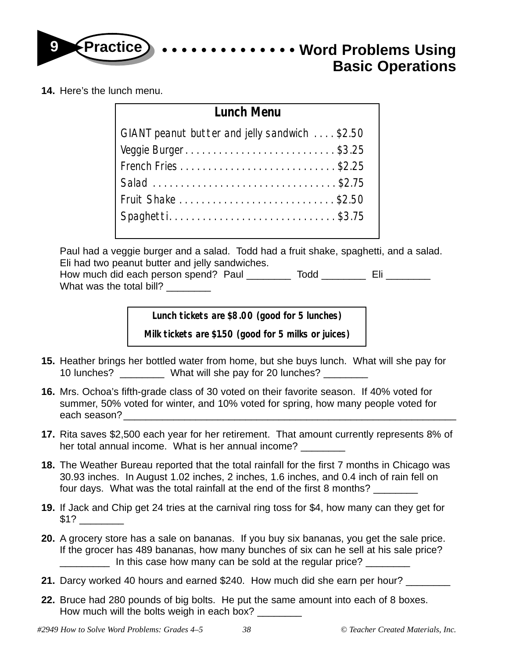

**14.** Here's the lunch menu.

| <b>Lunch Menu</b>                             |  |  |  |  |
|-----------------------------------------------|--|--|--|--|
| GIANT peanut butter and jelly sandwich \$2.50 |  |  |  |  |
| Veggie Burger\$3.25                           |  |  |  |  |
| French Fries\$2.25                            |  |  |  |  |
|                                               |  |  |  |  |
|                                               |  |  |  |  |
| Spaghetti\$3.75                               |  |  |  |  |
|                                               |  |  |  |  |

Paul had a veggie burger and a salad. Todd had a fruit shake, spaghetti, and a salad. Eli had two peanut butter and jelly sandwiches.

How much did each person spend? Paul \_\_\_\_\_\_\_\_ Todd \_\_\_\_\_\_\_\_ Eli \_\_\_\_\_\_\_\_ What was the total bill?

**Lunch tickets are \$8.00 (good for 5 lunches)**

**Milk tickets are \$1.50 (good for 5 milks or juices)**

- **15.** Heather brings her bottled water from home, but she buys lunch. What will she pay for 10 lunches? \_\_\_\_\_\_\_\_ What will she pay for 20 lunches? \_\_\_\_\_\_\_\_
- **16.** Mrs. Ochoa's fifth-grade class of 30 voted on their favorite season. If 40% voted for summer, 50% voted for winter, and 10% voted for spring, how many people voted for each season?
- **17.** Rita saves \$2,500 each year for her retirement. That amount currently represents 8% of her total annual income. What is her annual income?
- **18.** The Weather Bureau reported that the total rainfall for the first 7 months in Chicago was 30.93 inches. In August 1.02 inches, 2 inches, 1.6 inches, and 0.4 inch of rain fell on four days. What was the total rainfall at the end of the first 8 months? \_\_\_\_\_\_\_
- **19.** If Jack and Chip get 24 tries at the carnival ring toss for \$4, how many can they get for  $$1?$
- **20.** A grocery store has a sale on bananas. If you buy six bananas, you get the sale price. If the grocer has 489 bananas, how many bunches of six can he sell at his sale price? \_\_\_\_\_\_\_\_\_ In this case how many can be sold at the regular price? \_\_\_\_\_\_\_\_
- **21.** Darcy worked 40 hours and earned \$240. How much did she earn per hour?
- **22.** Bruce had 280 pounds of big bolts. He put the same amount into each of 8 boxes. How much will the bolts weigh in each box?